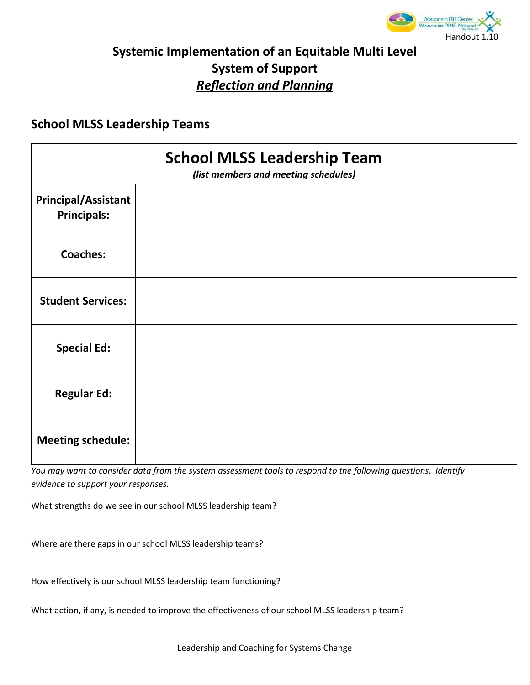

## **Systemic Implementation of an Equitable Multi Level System of Support**  *Reflection and Planning*

## **School MLSS Leadership Teams**

| <b>School MLSS Leadership Team</b><br>(list members and meeting schedules) |  |
|----------------------------------------------------------------------------|--|
| <b>Principal/Assistant</b><br><b>Principals:</b>                           |  |
| <b>Coaches:</b>                                                            |  |
| <b>Student Services:</b>                                                   |  |
| <b>Special Ed:</b>                                                         |  |
| <b>Regular Ed:</b>                                                         |  |
| <b>Meeting schedule:</b>                                                   |  |

*You may want to consider data from the system assessment tools to respond to the following questions. Identify evidence to support your responses.*

What strengths do we see in our school MLSS leadership team?

Where are there gaps in our school MLSS leadership teams?

How effectively is our school MLSS leadership team functioning?

What action, if any, is needed to improve the effectiveness of our school MLSS leadership team?